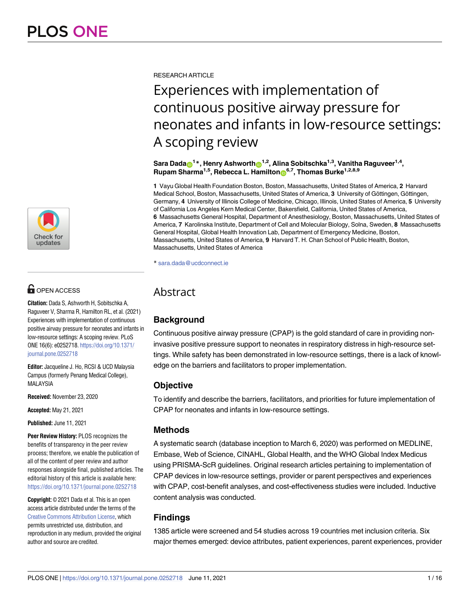

# $\blacksquare$  OPEN ACCESS

**Citation:** Dada S, Ashworth H, Sobitschka A, Raguveer V, Sharma R, Hamilton RL, et al. (2021) Experiences with implementation of continuous positive airway pressure for neonates and infants in low-resource settings: A scoping review. PLoS ONE 16(6): e0252718. [https://doi.org/10.1371/](https://doi.org/10.1371/journal.pone.0252718) [journal.pone.0252718](https://doi.org/10.1371/journal.pone.0252718)

**Editor:** Jacqueline J. Ho, RCSI & UCD Malaysia Campus (formerly Penang Medical College), MALAYSIA

**Received:** November 23, 2020

**Accepted:** May 21, 2021

**Published:** June 11, 2021

**Peer Review History:** PLOS recognizes the benefits of transparency in the peer review process; therefore, we enable the publication of all of the content of peer review and author responses alongside final, published articles. The editorial history of this article is available here: <https://doi.org/10.1371/journal.pone.0252718>

**Copyright:** © 2021 Dada et al. This is an open access article distributed under the terms of the Creative Commons [Attribution](http://creativecommons.org/licenses/by/4.0/) License, which permits unrestricted use, distribution, and reproduction in any medium, provided the original author and source are credited.

RESEARCH ARTICLE

# Experiences with implementation of continuous positive airway pressure for neonates and infants in low-resource settings: A scoping review

 $\mathsf{Sara\,Dada}_\mathbf{0}^{-1}\,^*\,,$  Henry Ashworth $_\mathbf{0}^{-1,2},$  Alina Sobitschka $^{1,3},$  Vanitha Raguveer $^{1,4},$ **Rupam Sharma<sup>1,5</sup>, Rebecca L. Hamilton**<sup>6,7</sup>, Thomas Burke<sup>1,2,8,9</sup>

**1** Vayu Global Health Foundation Boston, Boston, Massachusetts, United States of America, **2** Harvard Medical School, Boston, Massachusetts, United States of America, 3 University of Göttingen, Göttingen, Germany, **4** University of Illinois College of Medicine, Chicago, Illinois, United States of America, **5** University of California Los Angeles Kern Medical Center, Bakersfield, California, United States of America, **6** Massachusetts General Hospital, Department of Anesthesiology, Boston, Massachusetts, United States of America, **7** Karolinska Institute, Department of Cell and Molecular Biology, Solna, Sweden, **8** Massachusetts General Hospital, Global Health Innovation Lab, Department of Emergency Medicine, Boston, Massachusetts, United States of America, **9** Harvard T. H. Chan School of Public Health, Boston, Massachusetts, United States of America

\* sara.dada@ucdconnect.ie

# Abstract

# **Background**

Continuous positive airway pressure (CPAP) is the gold standard of care in providing noninvasive positive pressure support to neonates in respiratory distress in high-resource settings. While safety has been demonstrated in low-resource settings, there is a lack of knowledge on the barriers and facilitators to proper implementation.

# **Objective**

To identify and describe the barriers, facilitators, and priorities for future implementation of CPAP for neonates and infants in low-resource settings.

# **Methods**

A systematic search (database inception to March 6, 2020) was performed on MEDLINE, Embase, Web of Science, CINAHL, Global Health, and the WHO Global Index Medicus using PRISMA-ScR guidelines. Original research articles pertaining to implementation of CPAP devices in low-resource settings, provider or parent perspectives and experiences with CPAP, cost-benefit analyses, and cost-effectiveness studies were included. Inductive content analysis was conducted.

# **Findings**

1385 article were screened and 54 studies across 19 countries met inclusion criteria. Six major themes emerged: device attributes, patient experiences, parent experiences, provider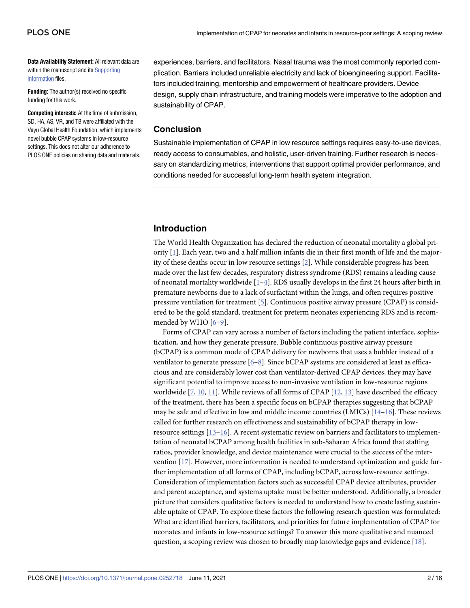<span id="page-1-0"></span>**Data Availability Statement:** All relevant data are within the manuscript and its [Supporting](#page-11-0) [information](#page-11-0) files.

**Funding:** The author(s) received no specific funding for this work.

**Competing interests:** At the time of submission, SD, HA, AS, VR, and TB were affiliated with the Vayu Global Health Foundation, which implements novel bubble CPAP systems in low-resource settings. This does not alter our adherence to PLOS ONE policies on sharing data and materials.

experiences, barriers, and facilitators. Nasal trauma was the most commonly reported complication. Barriers included unreliable electricity and lack of bioengineering support. Facilitators included training, mentorship and empowerment of healthcare providers. Device design, supply chain infrastructure, and training models were imperative to the adoption and sustainability of CPAP.

# **Conclusion**

Sustainable implementation of CPAP in low resource settings requires easy-to-use devices, ready access to consumables, and holistic, user-driven training. Further research is necessary on standardizing metrics, interventions that support optimal provider performance, and conditions needed for successful long-term health system integration.

# **Introduction**

The World Health Organization has declared the reduction of neonatal mortality a global priority [[1](#page-11-0)]. Each year, two and a half million infants die in their first month of life and the majority of these deaths occur in low resource settings [[2\]](#page-11-0). While considerable progress has been made over the last few decades, respiratory distress syndrome (RDS) remains a leading cause of neonatal mortality worldwide [[1–4\]](#page-11-0). RDS usually develops in the first 24 hours after birth in premature newborns due to a lack of surfactant within the lungs, and often requires positive pressure ventilation for treatment [[5](#page-11-0)]. Continuous positive airway pressure (CPAP) is considered to be the gold standard, treatment for preterm neonates experiencing RDS and is recommended by WHO [\[6–9\]](#page-11-0).

Forms of CPAP can vary across a number of factors including the patient interface, sophistication, and how they generate pressure. Bubble continuous positive airway pressure (bCPAP) is a common mode of CPAP delivery for newborns that uses a bubbler instead of a ventilator to generate pressure  $[6-8]$ . Since bCPAP systems are considered at least as efficacious and are considerably lower cost than ventilator-derived CPAP devices, they may have significant potential to improve access to non-invasive ventilation in low-resource regions worldwide  $[7, 10, 11]$  $[7, 10, 11]$  $[7, 10, 11]$  $[7, 10, 11]$  $[7, 10, 11]$ . While reviews of all forms of CPAP  $[12, 13]$  $[12, 13]$  $[12, 13]$  $[12, 13]$  $[12, 13]$  have described the efficacy of the treatment, there has been a specific focus on bCPAP therapies suggesting that bCPAP may be safe and effective in low and middle income countries (LMICs)  $[14-16]$  $[14-16]$  $[14-16]$  $[14-16]$  $[14-16]$ . These reviews called for further research on effectiveness and sustainability of bCPAP therapy in lowresource settings [\[13–16](#page-12-0)]. A recent systematic review on barriers and facilitators to implementation of neonatal bCPAP among health facilities in sub-Saharan Africa found that staffing ratios, provider knowledge, and device maintenance were crucial to the success of the intervention [\[17\]](#page-12-0). However, more information is needed to understand optimization and guide further implementation of all forms of CPAP, including bCPAP, across low-resource settings. Consideration of implementation factors such as successful CPAP device attributes, provider and parent acceptance, and systems uptake must be better understood. Additionally, a broader picture that considers qualitative factors is needed to understand how to create lasting sustainable uptake of CPAP. To explore these factors the following research question was formulated: What are identified barriers, facilitators, and priorities for future implementation of CPAP for neonates and infants in low-resource settings? To answer this more qualitative and nuanced question, a scoping review was chosen to broadly map knowledge gaps and evidence  $[18]$ .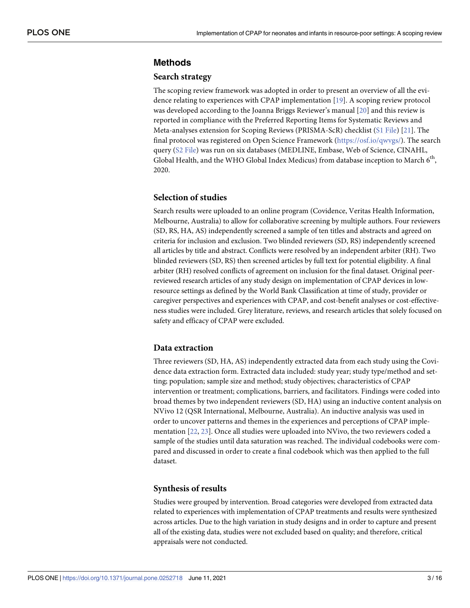# <span id="page-2-0"></span>**Methods**

## **Search strategy**

The scoping review framework was adopted in order to present an overview of all the evidence relating to experiences with CPAP implementation [\[19](#page-12-0)]. A scoping review protocol was developed according to the Joanna Briggs Reviewer's manual [\[20\]](#page-12-0) and this review is reported in compliance with the Preferred Reporting Items for Systematic Reviews and Meta-analyses extension for Scoping Reviews (PRISMA-ScR) checklist (S1 [File\)](#page-11-0) [[21\]](#page-12-0). The final protocol was registered on Open Science Framework [\(https://osf.io/qwvgs/](https://osf.io/qwvgs/)). The search query (S2 [File\)](#page-11-0) was run on six databases (MEDLINE, Embase, Web of Science, CINAHL, Global Health, and the WHO Global Index Medicus) from database inception to March  $6<sup>th</sup>$ , 2020.

### **Selection of studies**

Search results were uploaded to an online program (Covidence, Veritas Health Information, Melbourne, Australia) to allow for collaborative screening by multiple authors. Four reviewers (SD, RS, HA, AS) independently screened a sample of ten titles and abstracts and agreed on criteria for inclusion and exclusion. Two blinded reviewers (SD, RS) independently screened all articles by title and abstract. Conflicts were resolved by an independent arbiter (RH). Two blinded reviewers (SD, RS) then screened articles by full text for potential eligibility. A final arbiter (RH) resolved conflicts of agreement on inclusion for the final dataset. Original peerreviewed research articles of any study design on implementation of CPAP devices in lowresource settings as defined by the World Bank Classification at time of study, provider or caregiver perspectives and experiences with CPAP, and cost-benefit analyses or cost-effectiveness studies were included. Grey literature, reviews, and research articles that solely focused on safety and efficacy of CPAP were excluded.

# **Data extraction**

Three reviewers (SD, HA, AS) independently extracted data from each study using the Covidence data extraction form. Extracted data included: study year; study type/method and setting; population; sample size and method; study objectives; characteristics of CPAP intervention or treatment; complications, barriers, and facilitators. Findings were coded into broad themes by two independent reviewers (SD, HA) using an inductive content analysis on NVivo 12 (QSR International, Melbourne, Australia). An inductive analysis was used in order to uncover patterns and themes in the experiences and perceptions of CPAP implementation [[22](#page-12-0), [23\]](#page-12-0). Once all studies were uploaded into NVivo, the two reviewers coded a sample of the studies until data saturation was reached. The individual codebooks were compared and discussed in order to create a final codebook which was then applied to the full dataset.

# **Synthesis of results**

Studies were grouped by intervention. Broad categories were developed from extracted data related to experiences with implementation of CPAP treatments and results were synthesized across articles. Due to the high variation in study designs and in order to capture and present all of the existing data, studies were not excluded based on quality; and therefore, critical appraisals were not conducted.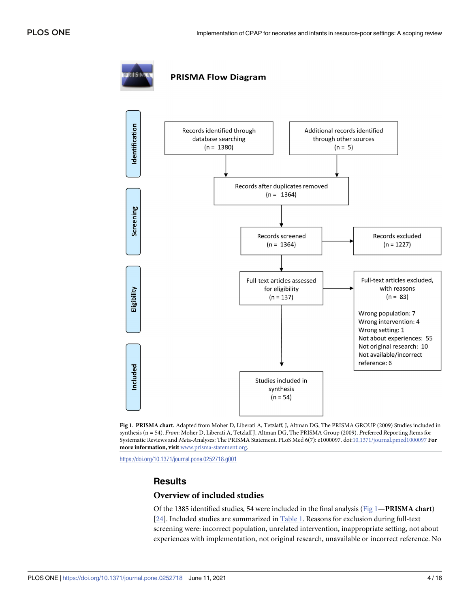<span id="page-3-0"></span>

**Fig 1. PRISMA chart.** Adapted from Moher D, Liberati A, Tetzlaff, J, Altman DG, The PRISMA GROUP (2009) Studies included in synthesis (n = 54). *From*: Moher D, Liberati A, Tetzlaff J, Altman DG, The PRISMA Group (2009). *P*referred *R*eporting *I*tems for Systematic Reviews and *Me*ta-*A*nalyses: The PRISMA Statement. PLoS Med 6(7): e1000097. doi[:10.1371/journal.pmed1000097](https://doi.org/10.1371/journal.pmed1000097) **For more information, visit** [www.prisma-statement.org.](http://www.prisma-statement.org)

<https://doi.org/10.1371/journal.pone.0252718.g001>

# **Results**

# **Overview of included studies**

Of the 1385 identified studies, 54 were included in the final analysis (Fig 1—**PRISMA chart**) [\[24\]](#page-12-0). Included studies are summarized in [Table](#page-4-0) 1. Reasons for exclusion during full-text screening were: incorrect population, unrelated intervention, inappropriate setting, not about experiences with implementation, not original research, unavailable or incorrect reference. No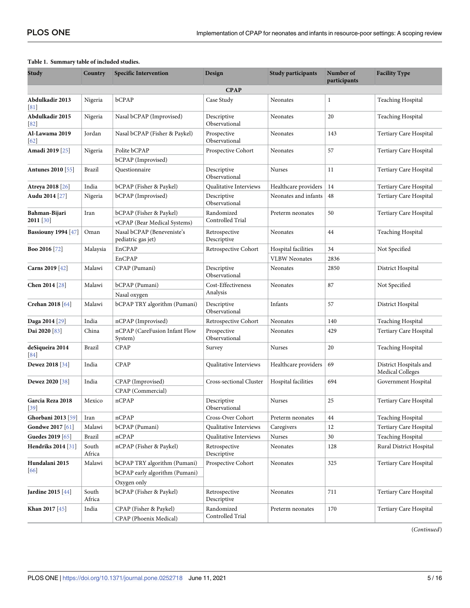| Study                         | Country         | <b>Specific Intervention</b>                            | Design                         | <b>Study participants</b> | Number of<br>participants | <b>Facility Type</b>                              |
|-------------------------------|-----------------|---------------------------------------------------------|--------------------------------|---------------------------|---------------------------|---------------------------------------------------|
|                               |                 |                                                         | <b>CPAP</b>                    |                           |                           |                                                   |
| Abdulkadir 2013<br>81         | Nigeria         | bCPAP                                                   | Case Study                     | Neonates                  | 1                         | <b>Teaching Hospital</b>                          |
| Abdulkadir 2015<br>[82]       | Nigeria         | Nasal bCPAP (Improvised)                                | Descriptive<br>Observational   | Neonates                  | 20                        | <b>Teaching Hospital</b>                          |
| Al-Lawama 2019<br>62          | Jordan          | Nasal bCPAP (Fisher & Paykel)                           | Prospective<br>Observational   | Neonates                  | 143                       | Tertiary Care Hospital                            |
| Amadi 2019 [25]               | Nigeria         | Polite bCPAP<br>bCPAP (Improvised)                      | Prospective Cohort             | Neonates                  | 57                        | Tertiary Care Hospital                            |
| Antunes 2010 [55]             | <b>Brazil</b>   | Questionnaire                                           | Descriptive<br>Observational   | <b>Nurses</b>             | 11                        | Tertiary Care Hospital                            |
| Atreya 2018 [26]              | India           | bCPAP (Fisher & Paykel)                                 | Qualitative Interviews         | Healthcare providers      | 14                        | Tertiary Care Hospital                            |
| Audu 2014 [27]                | Nigeria         | bCPAP (Improvised)                                      | Descriptive<br>Observational   | Neonates and infants      | 48                        | Tertiary Care Hospital                            |
| Bahman-Bijari<br>$2011$ [30]  | Iran            | bCPAP (Fisher & Paykel)<br>vCPAP (Bear Medical Systems) | Randomized<br>Controlled Trial | Preterm neonates          | 50                        | Tertiary Care Hospital                            |
| <b>Bassiouny 1994 [47]</b>    | Oman            | Nasal bCPAP (Beneveniste's<br>pediatric gas jet)        | Retrospective<br>Descriptive   | Neonates                  | 44                        | <b>Teaching Hospital</b>                          |
| <b>Boo 2016</b> [72]          | Malaysia        | EnCPAP                                                  | Retrospective Cohort           | Hospital facilities       | 34                        | Not Specified                                     |
|                               |                 | EnCPAP                                                  |                                | <b>VLBW Neonates</b>      | 2836                      |                                                   |
| Carns 2019 [42]               | Malawi          | CPAP (Pumani)                                           | Descriptive<br>Observational   | Neonates                  | 2850                      | District Hospital                                 |
| Chen 2014 [28]                | Malawi          | bCPAP (Pumani)                                          | Cost-Effectiveness<br>Analysis | Neonates                  | 87                        | Not Specified                                     |
|                               |                 | Nasal oxygen                                            |                                |                           |                           |                                                   |
| Crehan 2018 [64]              | Malawi          | bCPAP TRY algorithm (Pumani)                            | Descriptive<br>Observational   | Infants                   | 57                        | District Hospital                                 |
| Daga 2014 [29]                | India           | nCPAP (Improvised)                                      | Retrospective Cohort           | Neonates                  | 140                       | <b>Teaching Hospital</b>                          |
| Dai 2020 [83]                 | China           | nCPAP (CareFusion Infant Flow<br>System)                | Prospective<br>Observational   | Neonates                  | 429                       | Tertiary Care Hospital                            |
| deSiqueira 2014<br>84         | <b>Brazil</b>   | CPAP                                                    | Survey                         | Nurses                    | 20                        | <b>Teaching Hospital</b>                          |
| Dewez 2018 [34]               | India           | CPAP                                                    | Qualitative Interviews         | Healthcare providers      | 69                        | District Hospitals and<br><b>Medical Colleges</b> |
| Dewez 2020 [38]               | India           | CPAP (Improvised)                                       | Cross-sectional Cluster        | Hospital facilities       | 694                       | Government Hospital                               |
|                               |                 | CPAP (Commercial)                                       |                                |                           |                           |                                                   |
| Garcia Reza 2018<br>$[39]$    | Mexico          | nCPAP                                                   | Descriptive<br>Observational   | Nurses                    | 25                        | Tertiary Care Hospital                            |
| Ghorbani 2013 <sup>[59]</sup> | Iran            | nCPAP                                                   | Cross-Over Cohort              | Preterm neonates          | 44                        | <b>Teaching Hospital</b>                          |
| Gondwe 2017 [61]              | Malawi          | bCPAP (Pumani)                                          | Qualitative Interviews         | Caregivers                | 12                        | Tertiary Care Hospital                            |
| Guedes 2019 [65]              | Brazil          | nCPAP                                                   | Qualitative Interviews         | Nurses                    | 30                        | Teaching Hospital                                 |
| Hendriks 2014 [31]            | South<br>Africa | nCPAP (Fisher & Paykel)                                 | Retrospective<br>Descriptive   | Neonates                  | 128                       | Rural District Hospital                           |
| Hundalani 2015                | Malawi          | <b>bCPAP TRY</b> algorithm (Pumani)                     | Prospective Cohort             | Neonates                  | 325                       | Tertiary Care Hospital                            |
| 66                            |                 | bCPAP early algorithm (Pumani)                          |                                |                           |                           |                                                   |
|                               |                 | Oxygen only                                             |                                |                           |                           |                                                   |
| Jardine 2015 [44]             | South<br>Africa | bCPAP (Fisher & Paykel)                                 | Retrospective<br>Descriptive   | Neonates                  | 711                       | Tertiary Care Hospital                            |
| Khan 2017 [45]                | India           | CPAP (Fisher & Paykel)                                  | Randomized<br>Controlled Trial | Preterm neonates          | 170                       | Tertiary Care Hospital                            |
|                               |                 | CPAP (Phoenix Medical)                                  |                                |                           |                           |                                                   |

## <span id="page-4-0"></span>**[Table](#page-3-0) 1. Summary table of included studies.**

(*Continued*)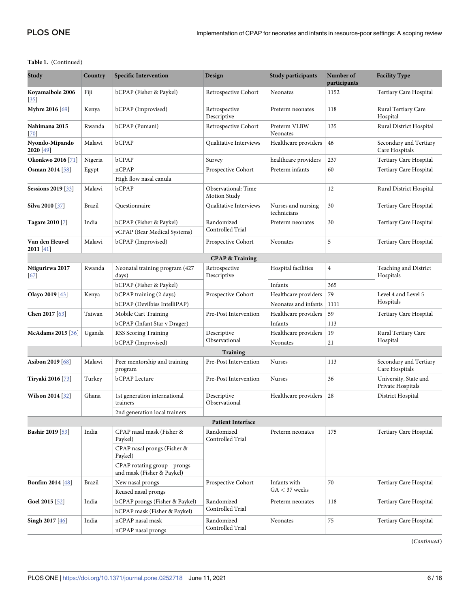| <b>Study</b>                          | Country       | <b>Specific Intervention</b>                             | Design                              | <b>Study participants</b>         | Number of<br>participants | <b>Facility Type</b>                       |
|---------------------------------------|---------------|----------------------------------------------------------|-------------------------------------|-----------------------------------|---------------------------|--------------------------------------------|
| Koyamaibole 2006<br>$\left 35\right $ | Fiji          | bCPAP (Fisher & Paykel)                                  | Retrospective Cohort                | Neonates                          | 1152                      | Tertiary Care Hospital                     |
| Myhre 2016 [69]                       | Kenya         | bCPAP (Improvised)                                       | Retrospective<br>Descriptive        | Preterm neonates                  | 118                       | Rural Tertiary Care<br>Hospital            |
| Nahimana 2015<br>[70]                 | Rwanda        | bCPAP (Pumani)                                           | Retrospective Cohort                | Preterm VLBW<br>Neonates          | 135                       | Rural District Hospital                    |
| Nyondo-Mipando<br>2020 [49]           | Malawi        | bCPAP                                                    | Qualitative Interviews              | Healthcare providers              | 46                        | Secondary and Tertiary<br>Care Hospitals   |
| <b>Okonkwo 2016</b> [71]              | Nigeria       | bCPAP                                                    | Survey                              | healthcare providers              | 237                       | Tertiary Care Hospital                     |
| Osman 2014 [58]                       | Egypt         | nCPAP                                                    | Prospective Cohort                  | Preterm infants                   | 60                        | Tertiary Care Hospital                     |
|                                       |               | High flow nasal canula                                   |                                     |                                   |                           |                                            |
| <b>Sessions 2019</b> [33]             | Malawi        | bCPAP                                                    | Observational: Time<br>Motion Study |                                   | 12                        | Rural District Hospital                    |
| <b>Silva 2010</b> [37]                | Brazil        | Questionnaire                                            | Qualitative Interviews              | Nurses and nursing<br>technicians | 30                        | Tertiary Care Hospital                     |
| Tagare 2010 [7]                       | India         | bCPAP (Fisher & Paykel)                                  | Randomized                          | Preterm neonates                  | 30                        | Tertiary Care Hospital                     |
|                                       |               | vCPAP (Bear Medical Systems)                             | Controlled Trial                    |                                   |                           |                                            |
| Van den Heuvel<br>$2011$ [41]         | Malawi        | bCPAP (Improvised)                                       | Prospective Cohort                  | <b>Neonates</b>                   | 5                         | Tertiary Care Hospital                     |
|                                       |               |                                                          | <b>CPAP &amp; Training</b>          |                                   |                           |                                            |
| Ntigurirwa 2017<br>67                 | Rwanda        | Neonatal training program (427<br>days)                  | Retrospective<br>Descriptive        | Hospital facilities               | $\overline{4}$            | Teaching and District<br>Hospitals         |
|                                       |               | bCPAP (Fisher & Paykel)                                  |                                     | Infants                           | 365                       |                                            |
| Olayo 2019 [43]                       | Kenya         | bCPAP training (2 days)                                  | Prospective Cohort                  | Healthcare providers              | 79                        | Level 4 and Level 5<br>Hospitals           |
|                                       |               | bCPAP (Devilbiss IntelliPAP)                             |                                     | Neonates and infants              | 1111                      |                                            |
| Chen 2017 [63]                        | Taiwan        | Mobile Cart Training                                     | Pre-Post Intervention               | Healthcare providers              | 59                        | Tertiary Care Hospital                     |
|                                       |               | bCPAP (Infant Star v Drager)                             |                                     | Infants                           | 113                       |                                            |
| McAdams 2015 [36]                     | Uganda        | RSS Scoring Training                                     | Descriptive<br>Observational        | Healthcare providers              | 19                        | Rural Tertiary Care<br>Hospital            |
|                                       |               | bCPAP (Improvised)                                       |                                     | Neonates                          | 21                        |                                            |
|                                       |               |                                                          | <b>Training</b>                     |                                   |                           |                                            |
| Asibon 2019 [68]                      | Malawi        | Peer mentorship and training<br>program                  | Pre-Post Intervention               | Nurses                            | 113                       | Secondary and Tertiary<br>Care Hospitals   |
| Tiryaki 2016 [73]                     | Turkey        | <b>bCPAP</b> Lecture                                     | Pre-Post Intervention               | <b>Nurses</b>                     | 36                        | University, State and<br>Private Hospitals |
| Wilson 2014 [32]                      | Ghana         | 1st generation international<br>trainers                 | Descriptive<br>Observational        | Healthcare providers              | 28                        | District Hospital                          |
|                                       |               | 2nd generation local trainers                            |                                     |                                   |                           |                                            |
|                                       |               |                                                          | <b>Patient Interface</b>            |                                   |                           |                                            |
| <b>Bashir 2019</b> [53]               | India         | CPAP nasal mask (Fisher &<br>Paykel)                     | Randomized<br>Controlled Trial      | Preterm neonates                  | 175                       | Tertiary Care Hospital                     |
|                                       |               | CPAP nasal prongs (Fisher &<br>Paykel)                   |                                     |                                   |                           |                                            |
|                                       |               | CPAP rotating group-prongs<br>and mask (Fisher & Paykel) |                                     |                                   |                           |                                            |
| Bonfim 2014 [48]                      | <b>Brazil</b> | New nasal prongs                                         | Prospective Cohort                  | Infants with<br>$GA < 37$ weeks   | 70                        | Tertiary Care Hospital                     |
|                                       |               | Reused nasal prongs                                      |                                     |                                   |                           |                                            |
| Goel 2015 [52]                        | India         | bCPAP prongs (Fisher & Paykel)                           | Randomized<br>Controlled Trial      | Preterm neonates                  | 118                       | Tertiary Care Hospital                     |
|                                       |               | bCPAP mask (Fisher & Paykel)                             |                                     |                                   |                           |                                            |
| Singh 2017 [46]                       | India         | nCPAP nasal mask                                         | Randomized<br>Controlled Trial      | Neonates                          | 75                        | Tertiary Care Hospital                     |
|                                       |               | nCPAP nasal prongs                                       |                                     |                                   |                           |                                            |

## <span id="page-5-0"></span>**Table 1.** (Continued)

(*Continued*)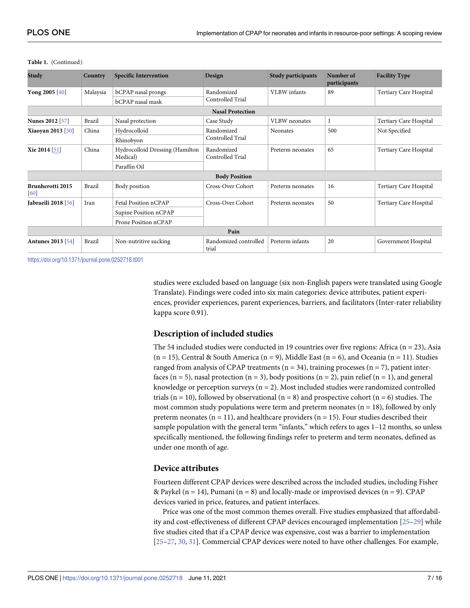| Study                    | Country       | <b>Specific Intervention</b>                | Design                         | <b>Study participants</b> | Number of<br>participants | <b>Facility Type</b>   |  |  |  |
|--------------------------|---------------|---------------------------------------------|--------------------------------|---------------------------|---------------------------|------------------------|--|--|--|
| Yong 2005 [40]           | Malaysia      | bCPAP nasal prongs                          | Randomized<br>Controlled Trial | <b>VLBW</b> infants       | 89                        | Tertiary Care Hospital |  |  |  |
|                          |               | bCPAP nasal mask                            |                                |                           |                           |                        |  |  |  |
| <b>Nasal Protection</b>  |               |                                             |                                |                           |                           |                        |  |  |  |
| <b>Nunes 2012</b> [57]   | <b>Brazil</b> | Nasal protection                            | Case Study                     | <b>VLBW</b> neonates      | 1                         | Tertiary Care Hospital |  |  |  |
| Xiaoyan 2013 [50]        | China         | Hydrocolloid                                | Randomized<br>Controlled Trial | <b>Neonates</b>           | 500                       | Not Specified          |  |  |  |
|                          |               | Rhinobyon                                   |                                |                           |                           |                        |  |  |  |
| <b>Xie 2014</b> [51]     | China         | Hydrocolloid Dressing (Hamilton<br>Medical) | Randomized<br>Controlled Trial | Preterm neonates          | 65                        | Tertiary Care Hospital |  |  |  |
|                          |               | Paraffin Oil                                |                                |                           |                           |                        |  |  |  |
| <b>Body Position</b>     |               |                                             |                                |                           |                           |                        |  |  |  |
| Brunherotti 2015<br>[60] | Brazil        | Body position                               | Cross-Over Cohort              | Preterm neonates          | 16                        | Tertiary Care Hospital |  |  |  |
| Jabraeili 2018 [56]      | Iran          | Fetal Position nCPAP                        | Cross-Over Cohort              | Preterm neonates          | 50                        | Tertiary Care Hospital |  |  |  |
|                          |               | Supine Position nCPAP                       |                                |                           |                           |                        |  |  |  |
|                          |               | Prone Position nCPAP                        |                                |                           |                           |                        |  |  |  |
| Pain                     |               |                                             |                                |                           |                           |                        |  |  |  |
| <b>Antunes 2013</b> [54] | Brazil        | Non-nutritive sucking                       | Randomized controlled<br>trial | Preterm infants           | 20                        | Government Hospital    |  |  |  |

#### <span id="page-6-0"></span>**Table 1.** (Continued)

<https://doi.org/10.1371/journal.pone.0252718.t001>

studies were excluded based on language (six non-English papers were translated using Google Translate). Findings were coded into six main categories: device attributes, patient experiences, provider experiences, parent experiences, barriers, and facilitators (Inter-rater reliability kappa score 0.91).

# **Description of included studies**

The 54 included studies were conducted in 19 countries over five regions: Africa  $(n = 23)$ , Asia  $(n = 15)$ , Central & South America  $(n = 9)$ , Middle East  $(n = 6)$ , and Oceania  $(n = 11)$ . Studies ranged from analysis of CPAP treatments ( $n = 34$ ), training processes ( $n = 7$ ), patient interfaces (n = 5), nasal protection (n = 3), body positions (n = 2), pain relief (n = 1), and general knowledge or perception surveys  $(n = 2)$ . Most included studies were randomized controlled trials (n = 10), followed by observational (n = 8) and prospective cohort (n = 6) studies. The most common study populations were term and preterm neonates ( $n = 18$ ), followed by only preterm neonates  $(n = 11)$ , and healthcare providers  $(n = 15)$ . Four studies described their sample population with the general term "infants," which refers to ages 1–12 months, so unless specifically mentioned, the following findings refer to preterm and term neonates, defined as under one month of age.

# **Device attributes**

Fourteen different CPAP devices were described across the included studies, including Fisher & Paykel ( $n = 14$ ), Pumani ( $n = 8$ ) and locally-made or improvised devices ( $n = 9$ ). CPAP devices varied in price, features, and patient interfaces.

Price was one of the most common themes overall. Five studies emphasized that affordability and cost-effectiveness of different CPAP devices encouraged implementation [\[25–29](#page-12-0)] while five studies cited that if a CPAP device was expensive, cost was a barrier to implementation [\[25–27,](#page-12-0) [30,](#page-12-0) [31\]](#page-13-0). Commercial CPAP devices were noted to have other challenges. For example,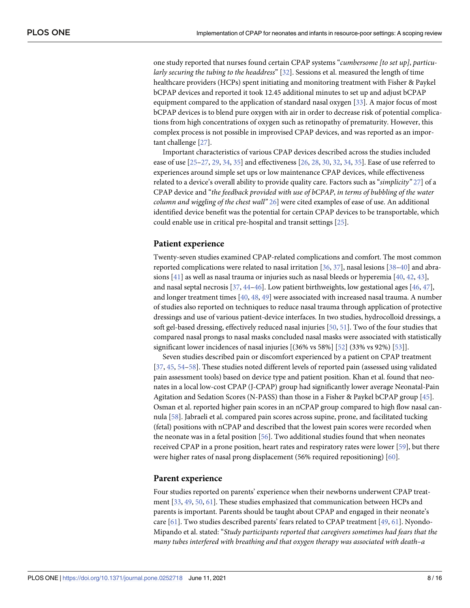one study reported that nurses found certain CPAP systems "*cumbersome [to set up]*, *particularly securing the tubing to the headdress*" [[32](#page-13-0)]. Sessions et al. measured the length of time healthcare providers (HCPs) spent initiating and monitoring treatment with Fisher & Paykel bCPAP devices and reported it took 12.45 additional minutes to set up and adjust bCPAP equipment compared to the application of standard nasal oxygen [[33](#page-13-0)]. A major focus of most bCPAP devices is to blend pure oxygen with air in order to decrease risk of potential complications from high concentrations of oxygen such as retinopathy of prematurity. However, this complex process is not possible in improvised CPAP devices, and was reported as an important challenge [[27](#page-12-0)].

Important characteristics of various CPAP devices described across the studies included ease of use [\[25–27,](#page-12-0) [29,](#page-12-0) [34,](#page-13-0) [35\]](#page-13-0) and effectiveness [[26](#page-12-0), [28](#page-12-0), [30](#page-12-0), [32](#page-13-0), [34](#page-13-0), [35](#page-13-0)]. Ease of use referred to experiences around simple set ups or low maintenance CPAP devices, while effectiveness related to a device's overall ability to provide quality care. Factors such as "*simplicity"* [27](#page-12-0)] of a CPAP device and "*the feedback provided with use of bCPAP*, *in terms of bubbling of the water column and wiggling of the chest wall"* [26](#page-12-0)] were cited examples of ease of use. An additional identified device benefit was the potential for certain CPAP devices to be transportable, which could enable use in critical pre-hospital and transit settings [\[25\]](#page-12-0).

### **Patient experience**

Twenty-seven studies examined CPAP-related complications and comfort. The most common reported complications were related to nasal irritation [\[36,](#page-13-0) [37\]](#page-13-0), nasal lesions [[38–40\]](#page-13-0) and abrasions [\[41\]](#page-13-0) as well as nasal trauma or injuries such as nasal bleeds or hyperemia [[40](#page-13-0), [42](#page-13-0), [43](#page-13-0)], and nasal septal necrosis [[37](#page-13-0), [44](#page-13-0)–[46](#page-13-0)]. Low patient birthweights, low gestational ages [\[46,](#page-13-0) [47\]](#page-13-0), and longer treatment times [\[40,](#page-13-0) [48,](#page-13-0) [49\]](#page-13-0) were associated with increased nasal trauma. A number of studies also reported on techniques to reduce nasal trauma through application of protective dressings and use of various patient-device interfaces. In two studies, hydrocolloid dressings, a soft gel-based dressing, effectively reduced nasal injuries [[50](#page-14-0), [51](#page-14-0)]. Two of the four studies that compared nasal prongs to nasal masks concluded nasal masks were associated with statistically significant lower incidences of nasal injuries [(36% vs 58%] [\[52\]](#page-14-0) (33% vs 92%) [[53](#page-14-0)]].

Seven studies described pain or discomfort experienced by a patient on CPAP treatment [\[37,](#page-13-0) [45,](#page-13-0) [54–58\]](#page-14-0). These studies noted different levels of reported pain (assessed using validated pain assessment tools) based on device type and patient position. Khan et al. found that neonates in a local low-cost CPAP (J-CPAP) group had significantly lower average Neonatal-Pain Agitation and Sedation Scores (N-PASS) than those in a Fisher & Paykel bCPAP group [\[45\]](#page-13-0). Osman et al. reported higher pain scores in an nCPAP group compared to high flow nasal cannula [\[58\]](#page-14-0). Jabraeli et al. compared pain scores across supine, prone, and facilitated tucking (fetal) positions with nCPAP and described that the lowest pain scores were recorded when the neonate was in a fetal position [\[56\]](#page-14-0). Two additional studies found that when neonates received CPAP in a prone position, heart rates and respiratory rates were lower [\[59\]](#page-14-0), but there were higher rates of nasal prong displacement (56% required repositioning) [[60](#page-14-0)].

### **Parent experience**

Four studies reported on parents' experience when their newborns underwent CPAP treatment [\[33,](#page-13-0) [49,](#page-13-0) [50,](#page-14-0) [61\]](#page-14-0). These studies emphasized that communication between HCPs and parents is important. Parents should be taught about CPAP and engaged in their neonate's care [\[61\]](#page-14-0). Two studies described parents' fears related to CPAP treatment [\[49,](#page-13-0) [61\]](#page-14-0). Nyondo-Mipando et al. stated: "*Study participants reported that caregivers sometimes had fears that the many tubes interfered with breathing and that oxygen therapy was associated with death–a*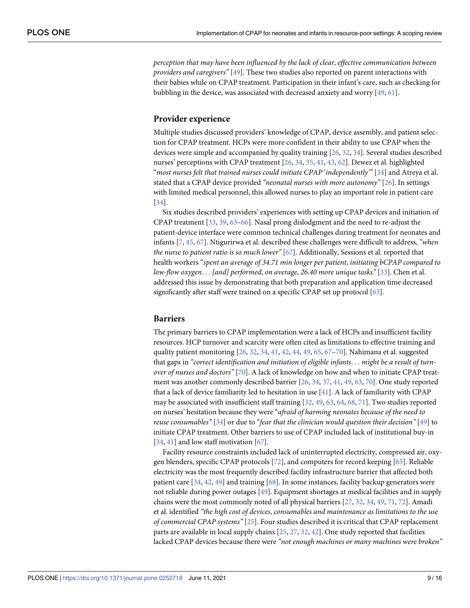*perception that may have been influenced by the lack of clear*, *effective communication between providers and caregivers"* [[49](#page-13-0)]. These two studies also reported on parent interactions with their babies while on CPAP treatment. Participation in their infant's care, such as checking for bubbling in the device, was associated with decreased anxiety and worry [\[49,](#page-13-0) [61\]](#page-14-0).

## **Provider experience**

Multiple studies discussed providers' knowledge of CPAP, device assembly, and patient selection for CPAP treatment. HCPs were more confident in their ability to use CPAP when the devices were simple and accompanied by quality training [\[26,](#page-12-0) [32,](#page-13-0) [34\]](#page-13-0). Several studies described nurses' perceptions with CPAP treatment [[26](#page-12-0), [34](#page-13-0), [35](#page-13-0), [41](#page-13-0), [43,](#page-13-0) [62](#page-14-0)]. Dewez et al. highlighted "*most nurses felt that trained nurses could initiate CPAP* '*independently'"* [\[34\]](#page-13-0) and Atreya et al. stated that a CPAP device provided *"neonatal nurses with more autonomy"* [\[26\]](#page-12-0). In settings with limited medical personnel, this allowed nurses to play an important role in patient care [\[34\]](#page-13-0).

Six studies described providers' experiences with setting up CPAP devices and initiation of CPAP treatment [[33](#page-13-0), [39](#page-13-0), [63–66\]](#page-14-0). Nasal prong dislodgment and the need to re-adjust the patient-device interface were common technical challenges during treatment for neonates and infants [\[7,](#page-11-0) [45,](#page-13-0) [67\]](#page-15-0). Ntigurirwa et al. described these challenges were difficult to address, *"when the nurse to patient ratio is so much lower"* [\[67\]](#page-15-0). Additionally, Sessions et al. reported that health workers "*spent an average of 34*.*71 min longer per patient*, *initiating bCPAP compared to low-flow oxygen*. . . *[and] performed*, *on average*, *26*.*40 more unique tasks"* [\[33\]](#page-13-0). Chen et al. addressed this issue by demonstrating that both preparation and application time decreased significantly after staff were trained on a specific CPAP set up protocol [\[63\]](#page-14-0).

## **Barriers**

The primary barriers to CPAP implementation were a lack of HCPs and insufficient facility resources. HCP turnover and scarcity were often cited as limitations to effective training and quality patient monitoring  $[26, 32, 34, 41, 42, 44, 49, 65, 67–70]$  $[26, 32, 34, 41, 42, 44, 49, 65, 67–70]$  $[26, 32, 34, 41, 42, 44, 49, 65, 67–70]$  $[26, 32, 34, 41, 42, 44, 49, 65, 67–70]$  $[26, 32, 34, 41, 42, 44, 49, 65, 67–70]$  $[26, 32, 34, 41, 42, 44, 49, 65, 67–70]$  $[26, 32, 34, 41, 42, 44, 49, 65, 67–70]$  $[26, 32, 34, 41, 42, 44, 49, 65, 67–70]$  $[26, 32, 34, 41, 42, 44, 49, 65, 67–70]$  $[26, 32, 34, 41, 42, 44, 49, 65, 67–70]$  $[26, 32, 34, 41, 42, 44, 49, 65, 67–70]$  $[26, 32, 34, 41, 42, 44, 49, 65, 67–70]$  $[26, 32, 34, 41, 42, 44, 49, 65, 67–70]$  $[26, 32, 34, 41, 42, 44, 49, 65, 67–70]$  $[26, 32, 34, 41, 42, 44, 49, 65, 67–70]$  $[26, 32, 34, 41, 42, 44, 49, 65, 67–70]$  $[26, 32, 34, 41, 42, 44, 49, 65, 67–70]$  $[26, 32, 34, 41, 42, 44, 49, 65, 67–70]$  $[26, 32, 34, 41, 42, 44, 49, 65, 67–70]$  $[26, 32, 34, 41, 42, 44, 49, 65, 67–70]$ . Nahimana et al. suggested that gaps in *"correct identification and initiation of eligible infants*. . . *might be a result of turnover of nurses and doctors"* [\[70\]](#page-15-0). A lack of knowledge on how and when to initiate CPAP treatment was another commonly described barrier [\[26,](#page-12-0) [34,](#page-13-0) [37,](#page-13-0) [41,](#page-13-0) [49,](#page-13-0) [63,](#page-14-0) [70\]](#page-15-0). One study reported that a lack of device familiarity led to hesitation in use [[41](#page-13-0)]. A lack of familiarity with CPAP may be associated with insufficient staff training [\[32,](#page-13-0) [49,](#page-13-0) [63,](#page-14-0) [64](#page-14-0), [68,](#page-15-0) [71](#page-15-0)]. Two studies reported on nurses' hesitation because they were "*afraid of harming neonates because of the need to reuse consumables"* [\[34\]](#page-13-0) or due to "*fear that the clinician would question their decision"* [\[49\]](#page-13-0) to initiate CPAP treatment. Other barriers to use of CPAP included lack of institutional buy-in [\[34,](#page-13-0) [41\]](#page-13-0) and low staff motivation [[67](#page-15-0)].

Facility resource constraints included lack of uninterrupted electricity, compressed air, oxygen blenders, specific CPAP protocols [[72](#page-15-0)], and computers for record keeping [[65](#page-14-0)]. Reliable electricity was the most frequently described facility infrastructure barrier that affected both patient care [\[34,](#page-13-0) [42,](#page-13-0) [49\]](#page-13-0) and training [\[68\]](#page-15-0). In some instances, facility backup generators were not reliable during power outages [\[49\]](#page-13-0). Equipment shortages at medical facilities and in supply chains were the most commonly noted of all physical barriers [\[27,](#page-12-0) [32,](#page-13-0) [34,](#page-13-0) [49,](#page-13-0) [71,](#page-15-0) [72\]](#page-15-0). Amadi et al. identified *"the high cost of devices*, *consumables and maintenance as limitations to the use of commercial CPAP systems"* [[25](#page-12-0)]. Four studies described it is critical that CPAP replacement parts are available in local supply chains [[25](#page-12-0), [27](#page-12-0), [32](#page-13-0), [42](#page-13-0)]. One study reported that facilities lacked CPAP devices because there were *"not enough machines or many machines were broken"*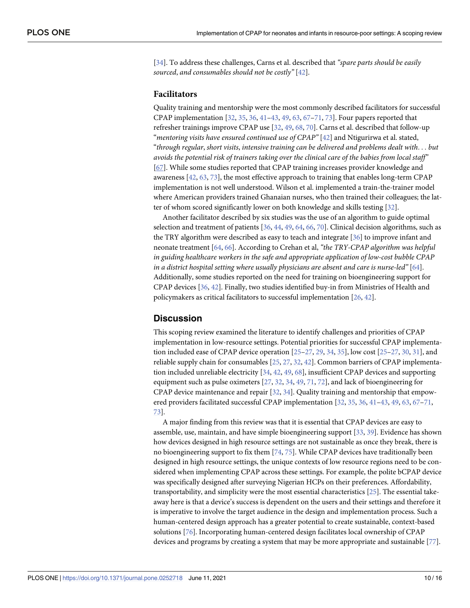<span id="page-9-0"></span>[\[34\]](#page-13-0). To address these challenges, Carns et al. described that *"spare parts should be easily sourced*, *and consumables should not be costly"* [[42](#page-13-0)].

### **Facilitators**

Quality training and mentorship were the most commonly described facilitators for successful CPAP implementation [[32](#page-13-0), [35](#page-13-0), [36](#page-13-0), [41–43,](#page-13-0) [49,](#page-13-0) [63,](#page-14-0) [67–71](#page-15-0), [73](#page-15-0)]. Four papers reported that refresher trainings improve CPAP use [\[32,](#page-13-0) [49](#page-13-0), [68](#page-15-0), [70](#page-15-0)]. Carns et al. described that follow-up "*mentoring visits have ensured continued use of CPAP"* [\[42\]](#page-13-0) and Ntigurirwa et al. stated, "*through regular*, *short visits*, *intensive training can be delivered and problems dealt with*. . . *but avoids the potential risk of trainers taking over the clinical care of the babies from local staff"* [\[67\]](#page-15-0). While some studies reported that CPAP training increases provider knowledge and awareness [\[42,](#page-13-0) [63](#page-14-0), [73](#page-15-0)], the most effective approach to training that enables long-term CPAP implementation is not well understood. Wilson et al. implemented a train-the-trainer model where American providers trained Ghanaian nurses, who then trained their colleagues; the latter of whom scored significantly lower on both knowledge and skills testing [[32](#page-13-0)].

Another facilitator described by six studies was the use of an algorithm to guide optimal selection and treatment of patients [\[36,](#page-13-0) [44,](#page-13-0) [49,](#page-13-0) [64](#page-14-0), [66](#page-14-0), [70](#page-15-0)]. Clinical decision algorithms, such as the TRY algorithm were described as easy to teach and integrate [[36](#page-13-0)] to improve infant and neonate treatment [[64](#page-14-0), [66](#page-14-0)]. According to Crehan et al, *"the TRY-CPAP algorithm was helpful in guiding healthcare workers in the safe and appropriate application of low-cost bubble CPAP in a district hospital setting where usually physicians are absent and care is nurse-led"* [\[64\]](#page-14-0). Additionally, some studies reported on the need for training on bioengineering support for CPAP devices [\[36,](#page-13-0) [42\]](#page-13-0). Finally, two studies identified buy-in from Ministries of Health and policymakers as critical facilitators to successful implementation [[26](#page-12-0), [42](#page-13-0)].

# **Discussion**

This scoping review examined the literature to identify challenges and priorities of CPAP implementation in low-resource settings. Potential priorities for successful CPAP implementation included ease of CPAP device operation [[25](#page-12-0)–[27](#page-12-0), [29](#page-12-0), [34](#page-13-0), [35\]](#page-13-0), low cost [[25](#page-12-0)–[27](#page-12-0), [30](#page-12-0), [31](#page-13-0)], and reliable supply chain for consumables [[25](#page-12-0), [27](#page-12-0), [32](#page-13-0), [42\]](#page-13-0). Common barriers of CPAP implementation included unreliable electricity [\[34,](#page-13-0) [42,](#page-13-0) [49,](#page-13-0) [68\]](#page-15-0), insufficient CPAP devices and supporting equipment such as pulse oximeters [\[27,](#page-12-0) [32,](#page-13-0) [34,](#page-13-0) [49,](#page-13-0) [71,](#page-15-0) [72\]](#page-15-0), and lack of bioengineering for CPAP device maintenance and repair  $[32, 34]$  $[32, 34]$  $[32, 34]$  $[32, 34]$  $[32, 34]$ . Quality training and mentorship that empowered providers facilitated successful CPAP implementation [\[32,](#page-13-0) [35,](#page-13-0) [36,](#page-13-0) [41–43,](#page-13-0) [49](#page-13-0), [63](#page-14-0), [67](#page-15-0)–[71](#page-15-0), [73\]](#page-15-0).

A major finding from this review was that it is essential that CPAP devices are easy to assemble, use, maintain, and have simple bioengineering support [[33](#page-13-0), [39](#page-13-0)]. Evidence has shown how devices designed in high resource settings are not sustainable as once they break, there is no bioengineering support to fix them [\[74,](#page-15-0) [75\]](#page-15-0). While CPAP devices have traditionally been designed in high resource settings, the unique contexts of low resource regions need to be considered when implementing CPAP across these settings. For example, the polite bCPAP device was specifically designed after surveying Nigerian HCPs on their preferences. Affordability, transportability, and simplicity were the most essential characteristics [\[25\]](#page-12-0). The essential takeaway here is that a device's success is dependent on the users and their settings and therefore it is imperative to involve the target audience in the design and implementation process. Such a human-centered design approach has a greater potential to create sustainable, context-based solutions [[76](#page-15-0)]. Incorporating human-centered design facilitates local ownership of CPAP devices and programs by creating a system that may be more appropriate and sustainable [\[77\]](#page-15-0).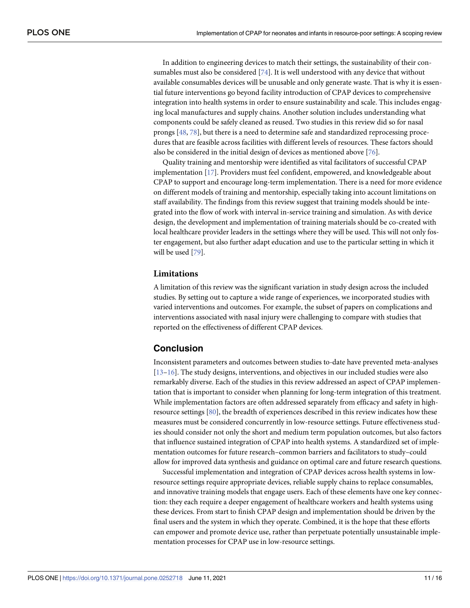<span id="page-10-0"></span>In addition to engineering devices to match their settings, the sustainability of their consumables must also be considered [[74](#page-15-0)]. It is well understood with any device that without available consumables devices will be unusable and only generate waste. That is why it is essential future interventions go beyond facility introduction of CPAP devices to comprehensive integration into health systems in order to ensure sustainability and scale. This includes engaging local manufactures and supply chains. Another solution includes understanding what components could be safely cleaned as reused. Two studies in this review did so for nasal prongs [\[48,](#page-13-0) [78\]](#page-15-0), but there is a need to determine safe and standardized reprocessing procedures that are feasible across facilities with different levels of resources. These factors should also be considered in the initial design of devices as mentioned above [[76](#page-15-0)].

Quality training and mentorship were identified as vital facilitators of successful CPAP implementation [[17](#page-12-0)]. Providers must feel confident, empowered, and knowledgeable about CPAP to support and encourage long-term implementation. There is a need for more evidence on different models of training and mentorship, especially taking into account limitations on staff availability. The findings from this review suggest that training models should be integrated into the flow of work with interval in-service training and simulation. As with device design, the development and implementation of training materials should be co-created with local healthcare provider leaders in the settings where they will be used. This will not only foster engagement, but also further adapt education and use to the particular setting in which it will be used [\[79\]](#page-15-0).

## **Limitations**

A limitation of this review was the significant variation in study design across the included studies. By setting out to capture a wide range of experiences, we incorporated studies with varied interventions and outcomes. For example, the subset of papers on complications and interventions associated with nasal injury were challenging to compare with studies that reported on the effectiveness of different CPAP devices.

# **Conclusion**

Inconsistent parameters and outcomes between studies to-date have prevented meta-analyses [\[13–16\]](#page-12-0). The study designs, interventions, and objectives in our included studies were also remarkably diverse. Each of the studies in this review addressed an aspect of CPAP implementation that is important to consider when planning for long-term integration of this treatment. While implementation factors are often addressed separately from efficacy and safety in highresource settings [\[80\]](#page-15-0), the breadth of experiences described in this review indicates how these measures must be considered concurrently in low-resource settings. Future effectiveness studies should consider not only the short and medium term population outcomes, but also factors that influence sustained integration of CPAP into health systems. A standardized set of implementation outcomes for future research–common barriers and facilitators to study–could allow for improved data synthesis and guidance on optimal care and future research questions.

Successful implementation and integration of CPAP devices across health systems in lowresource settings require appropriate devices, reliable supply chains to replace consumables, and innovative training models that engage users. Each of these elements have one key connection: they each require a deeper engagement of healthcare workers and health systems using these devices. From start to finish CPAP design and implementation should be driven by the final users and the system in which they operate. Combined, it is the hope that these efforts can empower and promote device use, rather than perpetuate potentially unsustainable implementation processes for CPAP use in low-resource settings.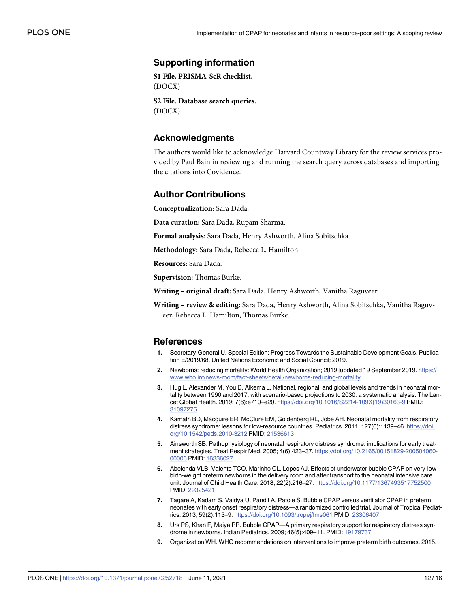# <span id="page-11-0"></span>**Supporting information**

**S1 [File.](http://www.plosone.org/article/fetchSingleRepresentation.action?uri=info:doi/10.1371/journal.pone.0252718.s001) PRISMA-ScR checklist.** (DOCX)

**S2 [File.](http://www.plosone.org/article/fetchSingleRepresentation.action?uri=info:doi/10.1371/journal.pone.0252718.s002) Database search queries.** (DOCX)

# **Acknowledgments**

The authors would like to acknowledge Harvard Countway Library for the review services provided by Paul Bain in reviewing and running the search query across databases and importing the citations into Covidence.

# **Author Contributions**

**Conceptualization:** Sara Dada.

**Data curation:** Sara Dada, Rupam Sharma.

**Formal analysis:** Sara Dada, Henry Ashworth, Alina Sobitschka.

**Methodology:** Sara Dada, Rebecca L. Hamilton.

**Resources:** Sara Dada.

**Supervision:** Thomas Burke.

**Writing – original draft:** Sara Dada, Henry Ashworth, Vanitha Raguveer.

**Writing – review & editing:** Sara Dada, Henry Ashworth, Alina Sobitschka, Vanitha Raguveer, Rebecca L. Hamilton, Thomas Burke.

# **References**

- **[1](#page-1-0).** Secretary-General U. Special Edition: Progress Towards the Sustainable Development Goals. Publication E/2019/68. United Nations Economic and Social Council; 2019.
- **[2](#page-1-0).** Newborns: reducing mortality: World Health Organization; 2019 [updated 19 September 2019. [https://](https://www.who.int/news-room/fact-sheets/detail/newborns-reducing-mortality) [www.who.int/news-room/fact-sheets/detail/newborns-reducing-mortality.](https://www.who.int/news-room/fact-sheets/detail/newborns-reducing-mortality)
- **3.** Hug L, Alexander M, You D, Alkema L. National, regional, and global levels and trends in neonatal mortality between 1990 and 2017, with scenario-based projections to 2030: a systematic analysis. The Lancet Global Health. 2019; 7(6):e710–e20. [https://doi.org/10.1016/S2214-109X\(19\)30163-9](https://doi.org/10.1016/S2214-109X%2819%2930163-9) PMID: [31097275](http://www.ncbi.nlm.nih.gov/pubmed/31097275)
- **[4](#page-1-0).** Kamath BD, Macguire ER, McClure EM, Goldenberg RL, Jobe AH. Neonatal mortality from respiratory distress syndrome: lessons for low-resource countries. Pediatrics. 2011; 127(6):1139–46. [https://doi.](https://doi.org/10.1542/peds.2010-3212) [org/10.1542/peds.2010-3212](https://doi.org/10.1542/peds.2010-3212) PMID: [21536613](http://www.ncbi.nlm.nih.gov/pubmed/21536613)
- **[5](#page-1-0).** Ainsworth SB. Pathophysiology of neonatal respiratory distress syndrome: implications for early treatment strategies. Treat Respir Med. 2005; 4(6):423–37. [https://doi.org/10.2165/00151829-200504060-](https://doi.org/10.2165/00151829-200504060-00006) [00006](https://doi.org/10.2165/00151829-200504060-00006) PMID: [16336027](http://www.ncbi.nlm.nih.gov/pubmed/16336027)
- **[6](#page-1-0).** Abelenda VLB, Valente TCO, Marinho CL, Lopes AJ. Effects of underwater bubble CPAP on very-lowbirth-weight preterm newborns in the delivery room and after transport to the neonatal intensive care unit. Journal of Child Health Care. 2018; 22(2):216–27. <https://doi.org/10.1177/1367493517752500> PMID: [29325421](http://www.ncbi.nlm.nih.gov/pubmed/29325421)
- **[7](#page-1-0).** Tagare A, Kadam S, Vaidya U, Pandit A, Patole S. Bubble CPAP versus ventilator CPAP in preterm neonates with early onset respiratory distress—a randomized controlled trial. Journal of Tropical Pediatrics. 2013; 59(2):113–9. <https://doi.org/10.1093/tropej/fms061> PMID: [23306407](http://www.ncbi.nlm.nih.gov/pubmed/23306407)
- **[8](#page-1-0).** Urs PS, Khan F, Maiya PP. Bubble CPAP—A primary respiratory support for respiratory distress syndrome in newborns. Indian Pediatrics. 2009; 46(5):409–11. PMID: [19179737](http://www.ncbi.nlm.nih.gov/pubmed/19179737)
- **[9](#page-1-0).** Organization WH. WHO recommendations on interventions to improve preterm birth outcomes. 2015.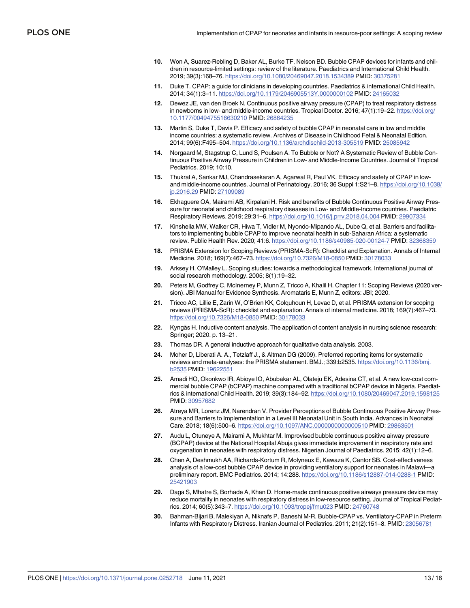- <span id="page-12-0"></span>**[10](#page-1-0).** Won A, Suarez-Rebling D, Baker AL, Burke TF, Nelson BD. Bubble CPAP devices for infants and children in resource-limited settings: review of the literature. Paediatrics and International Child Health. 2019; 39(3):168–76. <https://doi.org/10.1080/20469047.2018.1534389> PMID: [30375281](http://www.ncbi.nlm.nih.gov/pubmed/30375281)
- **[11](#page-1-0).** Duke T. CPAP: a guide for clinicians in developing countries. Paediatrics & international Child Health. 2014; 34(1):3–11. <https://doi.org/10.1179/2046905513Y.0000000102> PMID: [24165032](http://www.ncbi.nlm.nih.gov/pubmed/24165032)
- **[12](#page-1-0).** Dewez JE, van den Broek N. Continuous positive airway pressure (CPAP) to treat respiratory distress in newborns in low- and middle-income countries. Tropical Doctor. 2016; 47(1):19–22. [https://doi.org/](https://doi.org/10.1177/0049475516630210) [10.1177/0049475516630210](https://doi.org/10.1177/0049475516630210) PMID: [26864235](http://www.ncbi.nlm.nih.gov/pubmed/26864235)
- **[13](#page-1-0).** Martin S, Duke T, Davis P. Efficacy and safety of bubble CPAP in neonatal care in low and middle income countries: a systematic review. Archives of Disease in Childhood Fetal & Neonatal Edition. 2014; 99(6):F495–504. <https://doi.org/10.1136/archdischild-2013-305519> PMID: [25085942](http://www.ncbi.nlm.nih.gov/pubmed/25085942)
- **[14](#page-1-0).** Norgaard M, Stagstrup C, Lund S, Poulsen A. To Bubble or Not? A Systematic Review of Bubble Continuous Positive Airway Pressure in Children in Low- and Middle-Income Countries. Journal of Tropical Pediatrics. 2019; 10:10.
- **15.** Thukral A, Sankar MJ, Chandrasekaran A, Agarwal R, Paul VK. Efficacy and safety of CPAP in lowand middle-income countries. Journal of Perinatology. 2016; 36 Suppl 1:S21–8. [https://doi.org/10.1038/](https://doi.org/10.1038/jp.2016.29) [jp.2016.29](https://doi.org/10.1038/jp.2016.29) PMID: [27109089](http://www.ncbi.nlm.nih.gov/pubmed/27109089)
- **[16](#page-1-0).** Ekhaguere OA, Mairami AB, Kirpalani H. Risk and benefits of Bubble Continuous Positive Airway Pressure for neonatal and childhood respiratory diseases in Low- and Middle-Income countries. Paediatric Respiratory Reviews. 2019; 29:31–6. <https://doi.org/10.1016/j.prrv.2018.04.004> PMID: [29907334](http://www.ncbi.nlm.nih.gov/pubmed/29907334)
- **[17](#page-1-0).** Kinshella MW, Walker CR, Hiwa T, Vidler M, Nyondo-Mipando AL, Dube Q, et al. Barriers and facilitators to implementing bubble CPAP to improve neonatal health in sub-Saharan Africa: a systematic review. Public Health Rev. 2020; 41:6. <https://doi.org/10.1186/s40985-020-00124-7> PMID: [32368359](http://www.ncbi.nlm.nih.gov/pubmed/32368359)
- **[18](#page-1-0).** PRISMA Extension for Scoping Reviews (PRISMA-ScR): Checklist and Explanation. Annals of Internal Medicine. 2018; 169(7):467–73. <https://doi.org/10.7326/M18-0850> PMID: [30178033](http://www.ncbi.nlm.nih.gov/pubmed/30178033)
- **[19](#page-2-0).** Arksey H, O'Malley L. Scoping studies: towards a methodological framework. International journal of social research methodology. 2005; 8(1):19–32.
- **[20](#page-2-0).** Peters M, Godfrey C, McInerney P, Munn Z, Tricco A, Khalil H. Chapter 11: Scoping Reviews (2020 version). JBI Manual for Evidence Synthesis. Aromataris E, Munn Z, editors: JBI; 2020.
- **[21](#page-2-0).** Tricco AC, Lillie E, Zarin W, O'Brien KK, Colquhoun H, Levac D, et al. PRISMA extension for scoping reviews (PRISMA-ScR): checklist and explanation. Annals of internal medicine. 2018; 169(7):467–73. <https://doi.org/10.7326/M18-0850> PMID: [30178033](http://www.ncbi.nlm.nih.gov/pubmed/30178033)
- **[22](#page-2-0).** Kyngäs H. Inductive content analysis. The application of content analysis in nursing science research: Springer; 2020. p. 13–21.
- **[23](#page-2-0).** Thomas DR. A general inductive approach for qualitative data analysis. 2003.
- **[24](#page-3-0).** Moher D, Liberati A. A., Tetzlaff J., & Altman DG (2009). Preferred reporting items for systematic reviews and meta-analyses: the PRISMA statement. BMJ.; 339:b2535. [https://doi.org/10.1136/bmj.](https://doi.org/10.1136/bmj.b2535) [b2535](https://doi.org/10.1136/bmj.b2535) PMID: [19622551](http://www.ncbi.nlm.nih.gov/pubmed/19622551)
- **[25](#page-4-0).** Amadi HO, Okonkwo IR, Abioye IO, Abubakar AL, Olateju EK, Adesina CT, et al. A new low-cost commercial bubble CPAP (bCPAP) machine compared with a traditional bCPAP device in Nigeria. Paediatrics & international Child Health. 2019; 39(3):184–92. <https://doi.org/10.1080/20469047.2019.1598125> PMID: [30957682](http://www.ncbi.nlm.nih.gov/pubmed/30957682)
- **[26](#page-4-0).** Atreya MR, Lorenz JM, Narendran V. Provider Perceptions of Bubble Continuous Positive Airway Pressure and Barriers to Implementation in a Level III Neonatal Unit in South India. Advances in Neonatal Care. 2018; 18(6):500–6. <https://doi.org/10.1097/ANC.0000000000000510> PMID: [29863501](http://www.ncbi.nlm.nih.gov/pubmed/29863501)
- **[27](#page-4-0).** Audu L, Otuneye A, Mairami A, Mukhtar M. Improvised bubble continuous positive airway pressure (BCPAP) device at the National Hospital Abuja gives immediate improvement in respiratory rate and oxygenation in neonates with respiratory distress. Nigerian Journal of Paediatrics. 2015; 42(1):12–6.
- **[28](#page-4-0).** Chen A, Deshmukh AA, Richards-Kortum R, Molyneux E, Kawaza K, Cantor SB. Cost-effectiveness analysis of a low-cost bubble CPAP device in providing ventilatory support for neonates in Malawi—a preliminary report. BMC Pediatrics. 2014; 14:288. <https://doi.org/10.1186/s12887-014-0288-1> PMID: [25421903](http://www.ncbi.nlm.nih.gov/pubmed/25421903)
- **[29](#page-4-0).** Daga S, Mhatre S, Borhade A, Khan D. Home-made continuous positive airways pressure device may reduce mortality in neonates with respiratory distress in low-resource setting. Journal of Tropical Pediatrics. 2014; 60(5):343–7. <https://doi.org/10.1093/tropej/fmu023> PMID: [24760748](http://www.ncbi.nlm.nih.gov/pubmed/24760748)
- **[30](#page-4-0).** Bahman-Bijari B, Malekiyan A, Niknafs P, Baneshi M-R. Bubble-CPAP vs. Ventilatory-CPAP in Preterm Infants with Respiratory Distress. Iranian Journal of Pediatrics. 2011; 21(2):151–8. PMID: [23056781](http://www.ncbi.nlm.nih.gov/pubmed/23056781)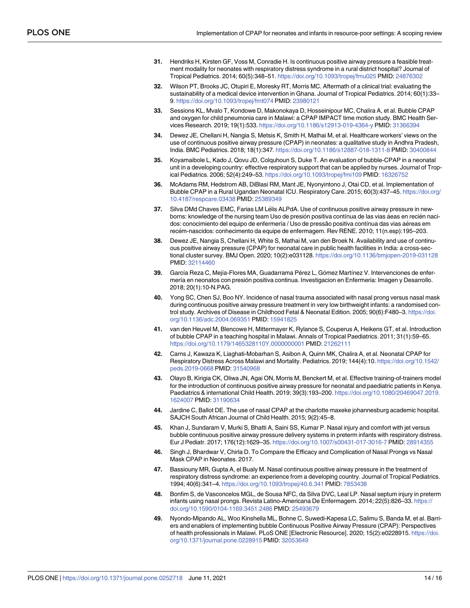- <span id="page-13-0"></span>**[31](#page-4-0).** Hendriks H, Kirsten GF, Voss M, Conradie H. Is continuous positive airway pressure a feasible treatment modality for neonates with respiratory distress syndrome in a rural district hospital? Journal of Tropical Pediatrics. 2014; 60(5):348–51. <https://doi.org/10.1093/tropej/fmu025> PMID: [24876302](http://www.ncbi.nlm.nih.gov/pubmed/24876302)
- **[32](#page-5-0).** Wilson PT, Brooks JC, Otupiri E, Moresky RT, Morris MC. Aftermath of a clinical trial: evaluating the sustainability of a medical device intervention in Ghana. Journal of Tropical Pediatrics. 2014; 60(1):33-9. <https://doi.org/10.1093/tropej/fmt074> PMID: [23980121](http://www.ncbi.nlm.nih.gov/pubmed/23980121)
- **[33](#page-5-0).** Sessions KL, Mvalo T, Kondowe D, Makonokaya D, Hosseinipour MC, Chalira A, et al. Bubble CPAP and oxygen for child pneumonia care in Malawi: a CPAP IMPACT time motion study. BMC Health Services Research. 2019; 19(1):533. <https://doi.org/10.1186/s12913-019-4364-y> PMID: [31366394](http://www.ncbi.nlm.nih.gov/pubmed/31366394)
- **[34](#page-4-0).** Dewez JE, Chellani H, Nangia S, Metsis K, Smith H, Mathai M, et al. Healthcare workers' views on the use of continuous positive airway pressure (CPAP) in neonates: a qualitative study in Andhra Pradesh, India. BMC Pediatrics. 2018; 18(1):347. <https://doi.org/10.1186/s12887-018-1311-8> PMID: [30400844](http://www.ncbi.nlm.nih.gov/pubmed/30400844)
- **[35](#page-5-0).** Koyamaibole L, Kado J, Qovu JD, Colquhoun S, Duke T. An evaluation of bubble-CPAP in a neonatal unit in a developing country: effective respiratory support that can be applied by nurses. Journal of Tropical Pediatrics. 2006; 52(4):249–53. <https://doi.org/10.1093/tropej/fmi109> PMID: [16326752](http://www.ncbi.nlm.nih.gov/pubmed/16326752)
- **[36](#page-5-0).** McAdams RM, Hedstrom AB, DiBlasi RM, Mant JE, Nyonyintono J, Otai CD, et al. Implementation of Bubble CPAP in a Rural Ugandan Neonatal ICU. Respiratory Care. 2015; 60(3):437–45. [https://doi.org/](https://doi.org/10.4187/respcare.03438) [10.4187/respcare.03438](https://doi.org/10.4187/respcare.03438) PMID: [25389349](http://www.ncbi.nlm.nih.gov/pubmed/25389349)
- **[37](#page-5-0).** Silva DMd Chaves EMC, Farias LM Lélis ALPdA. Use of continuous positive airway pressure in newborns: knowledge of the nursing team Uso de presión positiva contínua de las vias áeas en recién nacidos: conocimiento del equipo de enfermería / Uso de pressão positiva contínua das vias aéreas em recém-nascidos: conhecimento da equipe de enfermagem. Rev RENE. 2010; 11(n.esp):195–203.
- **[38](#page-4-0).** Dewez JE, Nangia S, Chellani H, White S, Mathai M, van den Broek N. Availability and use of continuous positive airway pressure (CPAP) for neonatal care in public health facilities in India: a cross-sectional cluster survey. BMJ Open. 2020; 10(2):e031128. <https://doi.org/10.1136/bmjopen-2019-031128> PMID: [32114460](http://www.ncbi.nlm.nih.gov/pubmed/32114460)
- **[39](#page-4-0).** García Reza C, Mejía-Flores MA, Guadarrama Pérez L, Gómez Martínez V. Intervenciones de enfermería en neonatos con presión positiva continua. Investigacion en Enfermeria: Imagen y Desarrollo. 2018; 20(1):10-N.PAG.
- **[40](#page-6-0).** Yong SC, Chen SJ, Boo NY. Incidence of nasal trauma associated with nasal prong versus nasal mask during continuous positive airway pressure treatment in very low birthweight infants: a randomised control study. Archives of Disease in Childhood Fetal & Neonatal Edition. 2005; 90(6):F480–3. [https://doi.](https://doi.org/10.1136/adc.2004.069351) [org/10.1136/adc.2004.069351](https://doi.org/10.1136/adc.2004.069351) PMID: [15941825](http://www.ncbi.nlm.nih.gov/pubmed/15941825)
- **[41](#page-5-0).** van den Heuvel M, Blencowe H, Mittermayer K, Rylance S, Couperus A, Heikens GT, et al. Introduction of bubble CPAP in a teaching hospital in Malawi. Annals of Tropical Paediatrics. 2011; 31(1):59–65. <https://doi.org/10.1179/1465328110Y.0000000001> PMID: [21262111](http://www.ncbi.nlm.nih.gov/pubmed/21262111)
- **[42](#page-4-0).** Carns J, Kawaza K, Liaghati-Mobarhan S, Asibon A, Quinn MK, Chalira A, et al. Neonatal CPAP for Respiratory Distress Across Malawi and Mortality. Pediatrics. 2019; 144(4):10. [https://doi.org/10.1542/](https://doi.org/10.1542/peds.2019-0668) [peds.2019-0668](https://doi.org/10.1542/peds.2019-0668) PMID: [31540968](http://www.ncbi.nlm.nih.gov/pubmed/31540968)
- **[43](#page-5-0).** Olayo B, Kirigia CK, Oliwa JN, Agai ON, Morris M, Benckert M, et al. Effective training-of-trainers model for the introduction of continuous positive airway pressure for neonatal and paediatric patients in Kenya. Paediatrics & international Child Health. 2019; 39(3):193–200. [https://doi.org/10.1080/20469047.2019.](https://doi.org/10.1080/20469047.2019.1624007) [1624007](https://doi.org/10.1080/20469047.2019.1624007) PMID: [31190634](http://www.ncbi.nlm.nih.gov/pubmed/31190634)
- **[44](#page-4-0).** Jardine C, Ballot DE. The use of nasal CPAP at the charlotte maxeke johannesburg academic hospital. SAJCH South African Journal of Child Health. 2015; 9(2):45–8.
- **[45](#page-4-0).** Khan J, Sundaram V, Murki S, Bhatti A, Saini SS, Kumar P. Nasal injury and comfort with jet versus bubble continuous positive airway pressure delivery systems in preterm infants with respiratory distress. Eur J Pediatr. 2017; 176(12):1629–35. <https://doi.org/10.1007/s00431-017-3016-7> PMID: [28914355](http://www.ncbi.nlm.nih.gov/pubmed/28914355)
- **[46](#page-5-0).** Singh J, Bhardwar V, Chirla D. To Compare the Efficacy and Complication of Nasal Prongs vs Nasal Mask CPAP in Neonates. 2017.
- **[47](#page-4-0).** Bassiouny MR, Gupta A, el Bualy M. Nasal continuous positive airway pressure in the treatment of respiratory distress syndrome: an experience from a developing country. Journal of Tropical Pediatrics. 1994; 40(6):341–4. <https://doi.org/10.1093/tropej/40.6.341> PMID: [7853438](http://www.ncbi.nlm.nih.gov/pubmed/7853438)
- **[48](#page-5-0).** Bonfim S, de Vasconcelos MGL, de Sousa NFC, da Silva DVC, Leal LP. Nasal septum injury in preterm infants using nasal prongs. Revista Latino-Americana De Enfermagem. 2014; 22(5):826–33. [https://](https://doi.org/10.1590/0104-1169.3451.2486) [doi.org/10.1590/0104-1169.3451.2486](https://doi.org/10.1590/0104-1169.3451.2486) PMID: [25493679](http://www.ncbi.nlm.nih.gov/pubmed/25493679)
- **[49](#page-5-0).** Nyondo-Mipando AL, Woo Kinshella ML, Bohne C, Suwedi-Kapesa LC, Salimu S, Banda M, et al. Barriers and enablers of implementing bubble Continuous Positive Airway Pressure (CPAP): Perspectives of health professionals in Malawi. PLoS ONE [Electronic Resource]. 2020; 15(2):e0228915. [https://doi.](https://doi.org/10.1371/journal.pone.0228915) [org/10.1371/journal.pone.0228915](https://doi.org/10.1371/journal.pone.0228915) PMID: [32053649](http://www.ncbi.nlm.nih.gov/pubmed/32053649)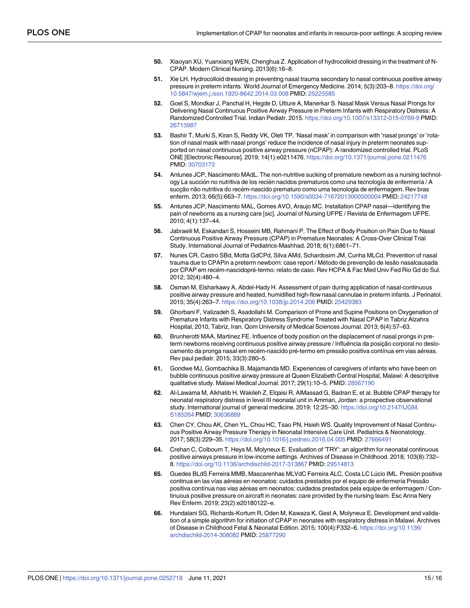- <span id="page-14-0"></span>**[50](#page-6-0).** Xiaoyan XU, Yuanxiang WEN, Chenghua Z. Application of hydrocolloid dressing in the treatment of N-CPAP. Modern Clinical Nursing. 2013(6):16–8.
- **[51](#page-6-0).** Xie LH. Hydrocolloid dressing in preventing nasal trauma secondary to nasal continuous positive airway pressure in preterm infants. World Journal of Emergency Medicine. 2014; 5(3):203–8. [https://doi.org/](https://doi.org/10.5847/wjem.j.issn.1920-8642.2014.03.008) [10.5847/wjem.j.issn.1920-8642.2014.03.008](https://doi.org/10.5847/wjem.j.issn.1920-8642.2014.03.008) PMID: [25225585](http://www.ncbi.nlm.nih.gov/pubmed/25225585)
- **[52](#page-5-0).** Goel S, Mondkar J, Panchal H, Hegde D, Utture A, Manerkar S. Nasal Mask Versus Nasal Prongs for Delivering Nasal Continuous Positive Airway Pressure in Preterm Infants with Respiratory Distress: A Randomized Controlled Trial. Indian Pediatr. 2015. <https://doi.org/10.1007/s13312-015-0769-9> PMID: [26713987](http://www.ncbi.nlm.nih.gov/pubmed/26713987)
- **[53](#page-5-0).** Bashir T, Murki S, Kiran S, Reddy VK, Oleti TP. 'Nasal mask' in comparison with 'nasal prongs' or 'rotation of nasal mask with nasal prongs' reduce the incidence of nasal injury in preterm neonates supported on nasal continuous positive airway pressure (nCPAP): A randomized controlled trial. PLoS ONE [Electronic Resource]. 2019; 14(1):e0211476. <https://doi.org/10.1371/journal.pone.0211476> PMID: [30703172](http://www.ncbi.nlm.nih.gov/pubmed/30703172)
- **[54](#page-6-0).** Antunes JCP, Nascimento MAdL. The non-nutritive sucking of premature newborn as a nursing technology La succión no nutritiva de los recién nacidos prematuros como una tecnología de enfermería / A succão não nutritiva do recém-nascido prematuro como uma tecnologia de enfermagem. Rev bras enferm. 2013; 66(5):663–7. <https://doi.org/10.1590/s0034-71672013000500004> PMID: [24217748](http://www.ncbi.nlm.nih.gov/pubmed/24217748)
- **[55](#page-4-0).** Antunes JCP, Nascimento MAL, Gomes AVO, Araujo MC. Installation CPAP nasal—identifying the pain of newborns as a nursing care [sic]. Journal of Nursing UFPE / Revista de Enfermagem UFPE. 2010; 4(1):137–44.
- **[56](#page-6-0).** Jabraeili M, Eskandari S, Hosseini MB, Rahmani P. The Effect of Body Position on Pain Due to Nasal Continuous Positive Airway Pressure (CPAP) in Premature Neonates: A Cross-Over Clinical Trial Study. International Journal of Pediatrics-Mashhad. 2018; 6(1):6861–71.
- **[57](#page-6-0).** Nunes CR, Castro SBd, Motta GdCPd, Silva AMd, Schardosim JM, Cunha MLCd. Prevention of nasal trauma due to CPAPin a preterm newborn: case report / Método de prevenção de lesão nasalcausada por CPAP em recém-nascidopré-termo: relato de caso. Rev HCPA & Fac Med Univ Fed Rio Gd do Sul. 2012; 32(4):480–4.
- **[58](#page-5-0).** Osman M, Elsharkawy A, Abdel-Hady H. Assessment of pain during application of nasal-continuous positive airway pressure and heated, humidified high-flow nasal cannulae in preterm infants. J Perinatol. 2015; 35(4):263–7. <https://doi.org/10.1038/jp.2014.206> PMID: [25429383](http://www.ncbi.nlm.nih.gov/pubmed/25429383)
- **[59](#page-4-0).** Ghorbani F, Valizadeh S, Asadollahi M. Comparison of Prone and Supine Positions on Oxygenation of Premature Infants with Respiratory Distress Syndrome Treated with Nasal CPAP in Tabriz Alzahra Hospital, 2010, Tabriz, Iran. Qom University of Medical Sciences Journal. 2013; 6(4):57–63.
- **[60](#page-6-0).** Brunherotti MAA, Martinez FE. Influence of body position on the displacement of nasal prongs in preterm newborns receiving continuous positive airway pressure / Influência da posição corporal no deslocamento da pronga nasal em recém-nascido pré-termo em pressão positiva contínua em vias aéreas. Rev paul pediatr. 2015; 33(3):280–5.
- **[61](#page-4-0).** Gondwe MJ, Gombachika B, Majamanda MD. Experiences of caregivers of infants who have been on bubble continuous positive airway pressure at Queen Elizabeth Central Hospital, Malawi: A descriptive qualitative study. Malawi Medical Journal. 2017; 29(1):10–5. PMID: [28567190](http://www.ncbi.nlm.nih.gov/pubmed/28567190)
- **[62](#page-4-0).** Al-Lawama M, Alkhatib H, Wakileh Z, Elqaisi R, AlMassad G, Badran E, et al. Bubble CPAP therapy for neonatal respiratory distress in level III neonatal unit in Amman, Jordan: a prospective observational study. International journal of general medicine. 2019; 12:25–30. [https://doi.org/10.2147/IJGM.](https://doi.org/10.2147/IJGM.S185264) [S185264](https://doi.org/10.2147/IJGM.S185264) PMID: [30636889](http://www.ncbi.nlm.nih.gov/pubmed/30636889)
- **[63](#page-5-0).** Chen CY, Chou AK, Chen YL, Chou HC, Tsao PN, Hsieh WS. Quality Improvement of Nasal Continuous Positive Airway Pressure Therapy in Neonatal Intensive Care Unit. Pediatrics & Neonatology. 2017; 58(3):229–35. <https://doi.org/10.1016/j.pedneo.2016.04.005> PMID: [27666491](http://www.ncbi.nlm.nih.gov/pubmed/27666491)
- **[64](#page-4-0).** Crehan C, Colbourn T, Heys M, Molyneux E. Evaluation of 'TRY': an algorithm for neonatal continuous positive airways pressure in low-income settings. Archives of Disease in Childhood. 2018; 103(8):732– 8. <https://doi.org/10.1136/archdischild-2017-313867> PMID: [29514813](http://www.ncbi.nlm.nih.gov/pubmed/29514813)
- [65](#page-4-0). Guedes BLdS Ferreira MMB, Mascarenhas MLVdC Ferreira ALC, Costa LC Lúcio IML. Presión positiva continua en las vías aéreas en neonatos: cuidados prestados por el equipo de enfermería Pressão positiva contínua nas vias aéreas em neonatos: cuidados prestados pela equipe de enfermagem / Continuous positive pressure on aircraft in neonates: care provided by the nursing team. Esc Anna Nery Rev Enferm. 2019; 23(2):e20180122–e.
- **[66](#page-4-0).** Hundalani SG, Richards-Kortum R, Oden M, Kawaza K, Gest A, Molyneux E. Development and validation of a simple algorithm for initiation of CPAP in neonates with respiratory distress in Malawi. Archives of Disease in Childhood Fetal & Neonatal Edition. 2015; 100(4):F332–6. [https://doi.org/10.1136/](https://doi.org/10.1136/archdischild-2014-308082) [archdischild-2014-308082](https://doi.org/10.1136/archdischild-2014-308082) PMID: [25877290](http://www.ncbi.nlm.nih.gov/pubmed/25877290)